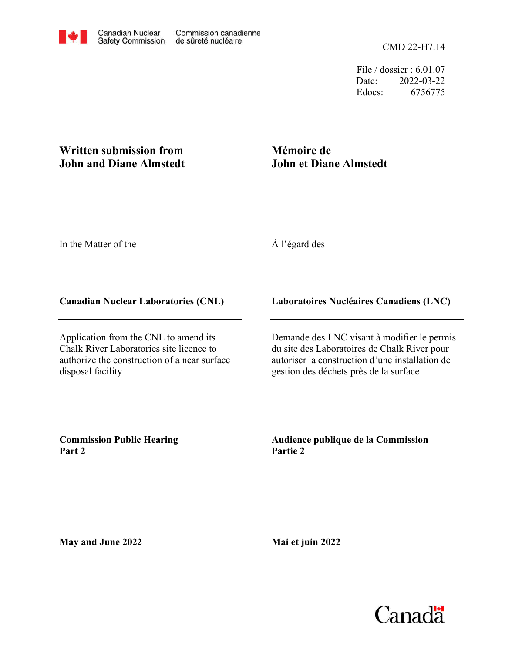File / dossier : 6.01.07 Date: 2022-03-22 Edocs: 6756775

## **Written submission from John and Diane Almstedt**

# **Mémoire de John et Diane Almstedt**

In the Matter of the

## À l'égard des

#### **Canadian Nuclear Laboratories (CNL)**

Application from the CNL to amend its Chalk River Laboratories site licence to authorize the construction of a near surface disposal facility

#### **Laboratoires Nucléaires Canadiens (LNC)**

Demande des LNC visant à modifier le permis du site des Laboratoires de Chalk River pour autoriser la construction d'une installation de gestion des déchets près de la surface

**Commission Public Hearing Part 2**

**Audience publique de la Commission Partie 2**

**May and June 2022**

**Mai et juin 2022**